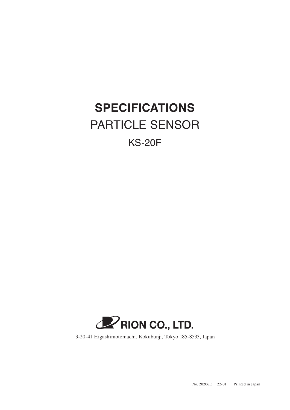## **SPECIFICATIONS** PARTICLE SENSOR

## KS-20F



3-20-41 Higashimotomachi, Kokubunji, Tokyo 185-8533, Japan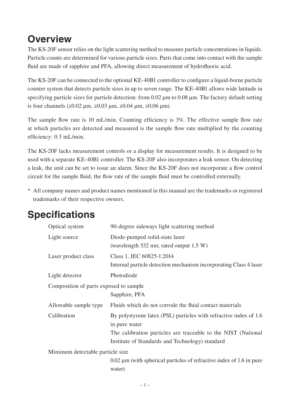## **Overview**

The KS-20F sensor relies on the light scattering method to measure particle concentrations in liquids. Particle counts are determined for various particle sizes. Parts that come into contact with the sample fluid are made of sapphire and PFA, allowing direct measurement of hydrofluoric acid.

The KS-20F can be connected to the optional KE-40B1 controller to configure a liquid-borne particle counter system that detects particle sizes in up to seven range. The KE-40B1 allows wide latitude in specifying particle sizes for particle detection: from 0.02 μm to 0.08 μm. The factory default setting is four channels (≥0.02 μm, ≥0.03 μm, ≥0.04 μm, ≥0.06 μm).

The sample flow rate is 10 mL/min. Counting efficiency is 3%. The effective sample flow rate at which particles are detected and measured is the sample flow rate multiplied by the counting efficiency: 0.3 mL/min.

The KS-20F lacks measurement controls or a display for measurement results. It is designed to be used with a separate KE-40B1 controller. The KS-20F also incorporates a leak sensor. On detecting a leak, the unit can be set to issue an alarm. Since the KS-20F does not incorporate a flow control circuit for the sample fluid, the flow rate of the sample fluid must be controlled externally.

\* All company names and product names mentioned in this manual are the trademarks or registered trademarks of their respective owners.

| Optical system                                          | 90-degree sideways light scattering method                                                                                                          |  |
|---------------------------------------------------------|-----------------------------------------------------------------------------------------------------------------------------------------------------|--|
| Light source                                            | Diode-pumped solid-state laser<br>(wavelength 532 nm; rated output 1.5 W)                                                                           |  |
| Laser product class                                     | Class 1, IEC 60825-1:2014<br>Internal particle detection mechanism incorporating Class 4 laser                                                      |  |
| Light detector                                          | Photodiode                                                                                                                                          |  |
| Composition of parts exposed to sample<br>Sapphire, PFA |                                                                                                                                                     |  |
| Allowable sample type                                   | Fluids which do not corrode the fluid contact materials                                                                                             |  |
| Calibration                                             | By polystyrene latex (PSL) particles with refractive index of 1.6<br>in pure water<br>The calibration particles are traceable to the NIST (National |  |
|                                                         | Institute of Standards and Technology) standard                                                                                                     |  |
| Minimum detectable particle size                        |                                                                                                                                                     |  |
|                                                         | $0.02 \mu$ m (with spherical particles of refractive index of 1.6 in pure<br>water)                                                                 |  |

## **Specifications**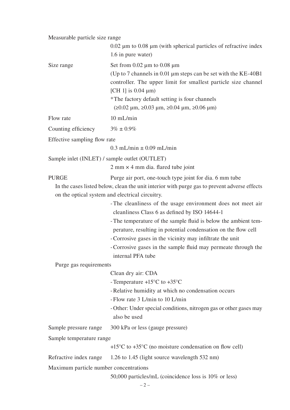Measurable particle size range

|                                               | $0.02 \mu m$ to $0.08 \mu m$ (with spherical particles of refractive index<br>1.6 in pure water)                                                                                                                                                                                                                                                                                                       |
|-----------------------------------------------|--------------------------------------------------------------------------------------------------------------------------------------------------------------------------------------------------------------------------------------------------------------------------------------------------------------------------------------------------------------------------------------------------------|
| Size range                                    | Set from $0.02 \mu m$ to $0.08 \mu m$<br>(Up to 7 channels in 0.01 $\mu$ m steps can be set with the KE-40B1<br>controller. The upper limit for smallest particle size channel<br>[CH 1] is $0.04 \mu m$ ]<br>*The factory default setting is four channels<br>$(20.02 \mu m, 20.03 \mu m, 20.04 \mu m, 20.06 \mu m)$                                                                                  |
| Flow rate                                     | $10$ mL/min                                                                                                                                                                                                                                                                                                                                                                                            |
| Counting efficiency                           | $3\% \pm 0.9\%$                                                                                                                                                                                                                                                                                                                                                                                        |
| Effective sampling flow rate                  |                                                                                                                                                                                                                                                                                                                                                                                                        |
|                                               | $0.3$ mL/min $\pm$ 0.09 mL/min                                                                                                                                                                                                                                                                                                                                                                         |
| Sample inlet (INLET) / sample outlet (OUTLET) |                                                                                                                                                                                                                                                                                                                                                                                                        |
|                                               | $2 \text{ mm} \times 4 \text{ mm}$ dia. flared tube joint                                                                                                                                                                                                                                                                                                                                              |
| <b>PURGE</b>                                  | Purge air port, one-touch type joint for dia. 6 mm tube<br>In the cases listed below, clean the unit interior with purge gas to prevent adverse effects<br>on the optical system and electrical circuitry.                                                                                                                                                                                             |
|                                               | - The cleanliness of the usage environment does not meet air<br>cleanliness Class 6 as defined by ISO 14644-1<br>- The temperature of the sample fluid is below the ambient tem-<br>perature, resulting in potential condensation on the flow cell<br>- Corrosive gases in the vicinity may infiltrate the unit<br>- Corrosive gases in the sample fluid may permeate through the<br>internal PFA tube |
| Purge gas requirements                        |                                                                                                                                                                                                                                                                                                                                                                                                        |
|                                               | Clean dry air: CDA<br>- Temperature $+15^{\circ}$ C to $+35^{\circ}$ C<br>- Relative humidity at which no condensation occurs<br>- Flow rate 3 L/min to 10 L/min<br>- Other: Under special conditions, nitrogen gas or other gases may<br>also be used                                                                                                                                                 |
| Sample pressure range                         | 300 kPa or less (gauge pressure)                                                                                                                                                                                                                                                                                                                                                                       |
| Sample temperature range                      |                                                                                                                                                                                                                                                                                                                                                                                                        |
|                                               | $+15^{\circ}$ C to $+35^{\circ}$ C (no moisture condensation on flow cell)                                                                                                                                                                                                                                                                                                                             |
| Refractive index range                        | 1.26 to 1.45 (light source wavelength 532 nm)                                                                                                                                                                                                                                                                                                                                                          |
| Maximum particle number concentrations        | 50,000 particles/mL (coincidence loss is 10% or less)                                                                                                                                                                                                                                                                                                                                                  |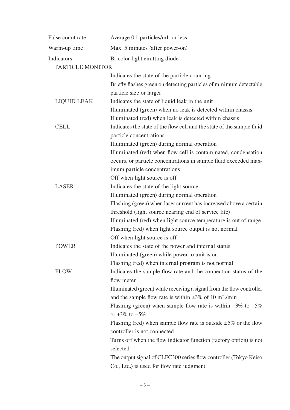| False count rate   | Average 0.1 particles/mL or less                                       |
|--------------------|------------------------------------------------------------------------|
| Warm-up time       | Max. 5 minutes (after power-on)                                        |
| Indicators         | Bi-color light emitting diode                                          |
| PARTICLE MONITOR   |                                                                        |
|                    | Indicates the state of the particle counting                           |
|                    | Briefly flashes green on detecting particles of minimum detectable     |
|                    | particle size or larger                                                |
| <b>LIQUID LEAK</b> | Indicates the state of liquid leak in the unit                         |
|                    | Illuminated (green) when no leak is detected within chassis            |
|                    | Illuminated (red) when leak is detected within chassis                 |
| <b>CELL</b>        | Indicates the state of the flow cell and the state of the sample fluid |
|                    | particle concentrations                                                |
|                    | Illuminated (green) during normal operation                            |
|                    | Illuminated (red) when flow cell is contaminated, condensation         |
|                    | occurs, or particle concentrations in sample fluid exceeded max-       |
|                    | imum particle concentrations                                           |
|                    | Off when light source is off                                           |
| <b>LASER</b>       | Indicates the state of the light source                                |
|                    | Illuminated (green) during normal operation                            |
|                    | Flashing (green) when laser current has increased above a certain      |
|                    | threshold (light source nearing end of service life)                   |
|                    | Illuminated (red) when light source temperature is out of range        |
|                    | Flashing (red) when light source output is not normal                  |
|                    | Off when light source is off                                           |
| <b>POWER</b>       | Indicates the state of the power and internal status                   |
|                    | Illuminated (green) while power to unit is on                          |
|                    | Flashing (red) when internal program is not normal                     |
| <b>FLOW</b>        | Indicates the sample flow rate and the connection status of the        |
|                    | flow meter                                                             |
|                    | Illuminated (green) while receiving a signal from the flow controller  |
|                    | and the sample flow rate is within $\pm 3\%$ of 10 mL/min              |
|                    | Flashing (green) when sample flow rate is within $-3\%$ to $-5\%$      |
|                    | or $+3\%$ to $+5\%$                                                    |
|                    | Flashing (red) when sample flow rate is outside $\pm 5\%$ or the flow  |
|                    | controller is not connected                                            |
|                    | Turns off when the flow indicator function (factory option) is not     |
|                    | selected                                                               |
|                    | The output signal of CLFC300 series flow controller (Tokyo Keiso       |
|                    | Co., Ltd.) is used for flow rate judgment                              |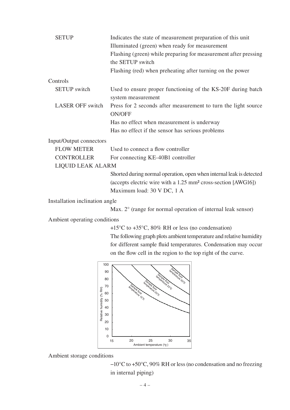| <b>SETUP</b>                   | Indicates the state of measurement preparation of this unit               |  |
|--------------------------------|---------------------------------------------------------------------------|--|
|                                | Illuminated (green) when ready for measurement                            |  |
|                                | Flashing (green) while preparing for measurement after pressing           |  |
|                                | the SETUP switch                                                          |  |
|                                | Flashing (red) when preheating after turning on the power                 |  |
| Controls                       |                                                                           |  |
| <b>SETUP</b> switch            | Used to ensure proper functioning of the KS-20F during batch              |  |
|                                | system measurement                                                        |  |
| <b>LASER OFF switch</b>        | Press for 2 seconds after measurement to turn the light source            |  |
|                                | <b>ON/OFF</b>                                                             |  |
|                                | Has no effect when measurement is underway                                |  |
|                                | Has no effect if the sensor has serious problems                          |  |
| Input/Output connectors        |                                                                           |  |
| <b>FLOW METER</b>              | Used to connect a flow controller                                         |  |
| <b>CONTROLLER</b>              | For connecting KE-40B1 controller                                         |  |
| LIQUID LEAK ALARM              |                                                                           |  |
|                                | Shorted during normal operation, open when internal leak is detected      |  |
|                                | (accepts electric wire with a 1.25 mm <sup>2</sup> cross-section [AWG16]) |  |
|                                | Maximum load: 30 V DC, 1 A                                                |  |
| Installation inclination angle |                                                                           |  |

Max. 2° (range for normal operation of internal leak sensor)

Ambient operating conditions

+15°C to +35°C, 80% RH or less (no condensation)

The following graph plots ambient temperature and relative humidity for different sample fluid temperatures. Condensation may occur on the flow cell in the region to the top right of the curve.



Ambient storage conditions

−10°C to +50°C, 90% RH or less (no condensation and no freezing in internal piping)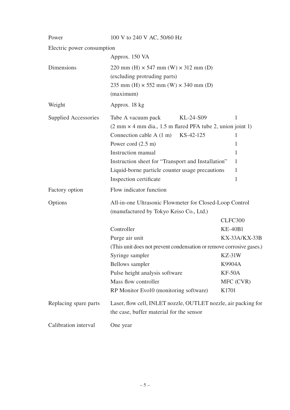| Power                      | 100 V to 240 V AC, 50/60 Hz                                                       |                |  |  |
|----------------------------|-----------------------------------------------------------------------------------|----------------|--|--|
| Electric power consumption |                                                                                   |                |  |  |
|                            | Approx. 150 VA                                                                    |                |  |  |
| Dimensions                 | 220 mm (H) $\times$ 547 mm (W) $\times$ 312 mm (D)                                |                |  |  |
|                            | (excluding protruding parts)                                                      |                |  |  |
|                            | 235 mm (H) $\times$ 552 mm (W) $\times$ 340 mm (D)                                |                |  |  |
|                            | (maximum)                                                                         |                |  |  |
| Weight                     | Approx. 18 kg                                                                     |                |  |  |
| Supplied Accessories       | KL-24-S09<br>Tube A vacuum pack                                                   | 1              |  |  |
|                            | $(2 \text{ mm} \times 4 \text{ mm dia}$ , 1.5 m flared PFA tube 2, union joint 1) |                |  |  |
|                            | Connection cable A $(1 \text{ m})$ KS-42-125                                      | 1              |  |  |
|                            | Power cord $(2.5 \text{ m})$                                                      | 1              |  |  |
|                            | <b>Instruction</b> manual                                                         | 1              |  |  |
|                            | Instruction sheet for "Transport and Installation"                                | 1              |  |  |
|                            | Liquid-borne particle counter usage precautions                                   | 1              |  |  |
|                            | Inspection certificate                                                            | 1              |  |  |
| Factory option             | Flow indicator function                                                           |                |  |  |
| Options                    | All-in-one Ultrasonic Flowmeter for Closed-Loop Control                           |                |  |  |
|                            | (manufactured by Tokyo Keiso Co., Ltd.)                                           |                |  |  |
|                            |                                                                                   | CLFC300        |  |  |
|                            | Controller                                                                        | <b>KE-40B1</b> |  |  |
|                            | Purge air unit                                                                    | KX-33A/KX-33B  |  |  |
|                            | (This unit does not prevent condensation or remove corrosive gases.)              |                |  |  |
|                            | Syringe sampler                                                                   | $KZ-31W$       |  |  |
|                            | <b>Bellows</b> sampler                                                            | K9904A         |  |  |
|                            | Pulse height analysis software                                                    | $KF-50A$       |  |  |
|                            | Mass flow controller                                                              | MFC (CVR)      |  |  |
|                            | RP Monitor Evo10 (monitoring software)                                            | K1701          |  |  |
| Replacing spare parts      | Laser, flow cell, INLET nozzle, OUTLET nozzle, air packing for                    |                |  |  |
|                            | the case, buffer material for the sensor                                          |                |  |  |
| Calibration interval       | One year                                                                          |                |  |  |